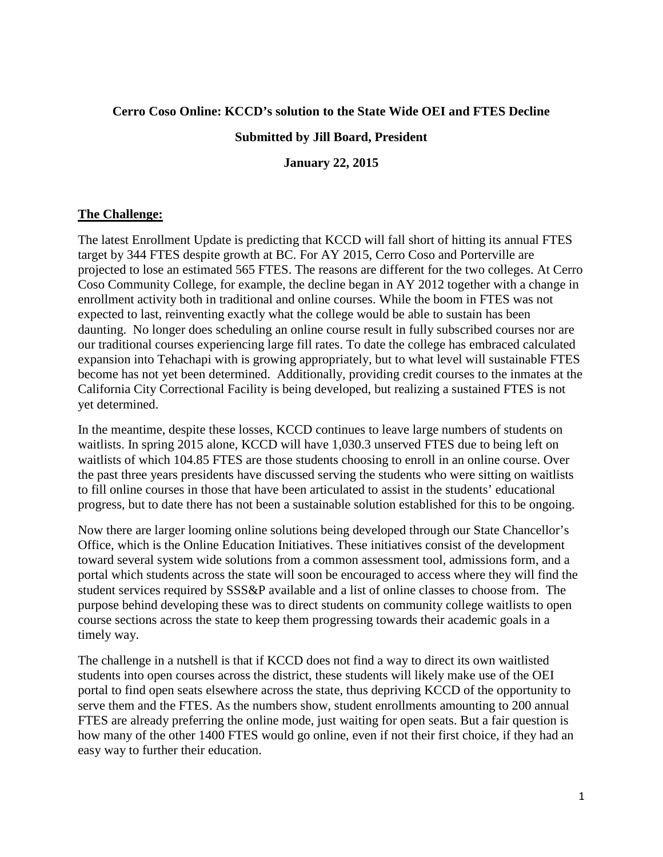### **Cerro Coso Online: KCCD's solution to the State Wide OEI and FTES Decline**

#### **Submitted by Jill Board, President**

**January 22, 2015**

#### **The Challenge:**

The latest Enrollment Update is predicting that KCCD will fall short of hitting its annual FTES target by 344 FTES despite growth at BC. For AY 2015, Cerro Coso and Porterville are projected to lose an estimated 565 FTES. The reasons are different for the two colleges. At Cerro Coso Community College, for example, the decline began in AY 2012 together with a change in enrollment activity both in traditional and online courses. While the boom in FTES was not expected to last, reinventing exactly what the college would be able to sustain has been daunting. No longer does scheduling an online course result in fully subscribed courses nor are our traditional courses experiencing large fill rates. To date the college has embraced calculated expansion into Tehachapi with is growing appropriately, but to what level will sustainable FTES become has not yet been determined. Additionally, providing credit courses to the inmates at the California City Correctional Facility is being developed, but realizing a sustained FTES is not yet determined.

In the meantime, despite these losses, KCCD continues to leave large numbers of students on waitlists. In spring 2015 alone, KCCD will have 1,030.3 unserved FTES due to being left on waitlists of which 104.85 FTES are those students choosing to enroll in an online course. Over the past three years presidents have discussed serving the students who were sitting on waitlists to fill online courses in those that have been articulated to assist in the students' educational progress, but to date there has not been a sustainable solution established for this to be ongoing.

Now there are larger looming online solutions being developed through our State Chancellor's Office, which is the Online Education Initiatives. These initiatives consist of the development toward several system wide solutions from a common assessment tool, admissions form, and a portal which students across the state will soon be encouraged to access where they will find the student services required by SSS&P available and a list of online classes to choose from. The purpose behind developing these was to direct students on community college waitlists to open course sections across the state to keep them progressing towards their academic goals in a timely way.

The challenge in a nutshell is that if KCCD does not find a way to direct its own waitlisted students into open courses across the district, these students will likely make use of the OEI portal to find open seats elsewhere across the state, thus depriving KCCD of the opportunity to serve them and the FTES. As the numbers show, student enrollments amounting to 200 annual FTES are already preferring the online mode, just waiting for open seats. But a fair question is how many of the other 1400 FTES would go online, even if not their first choice, if they had an easy way to further their education.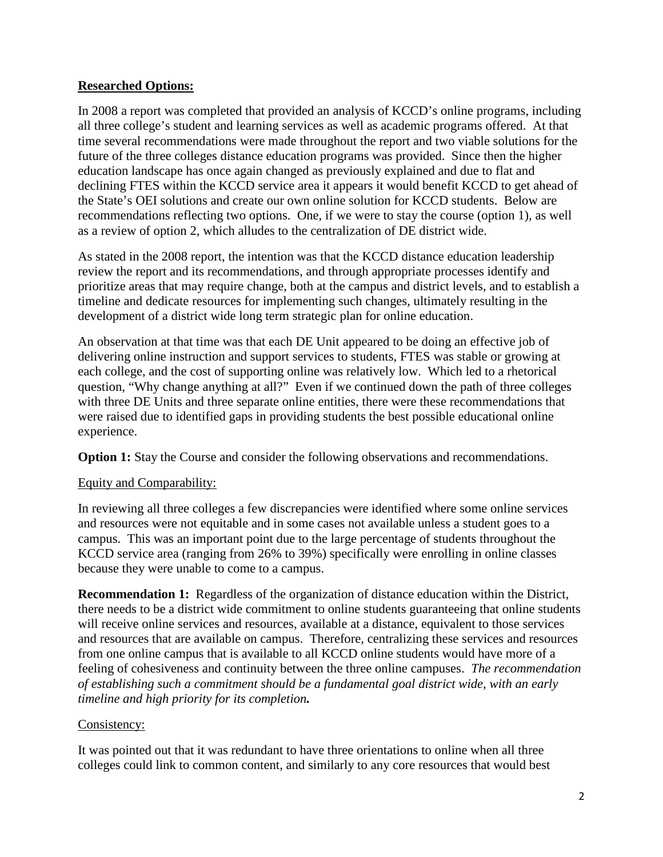### **Researched Options:**

In 2008 a report was completed that provided an analysis of KCCD's online programs, including all three college's student and learning services as well as academic programs offered. At that time several recommendations were made throughout the report and two viable solutions for the future of the three colleges distance education programs was provided. Since then the higher education landscape has once again changed as previously explained and due to flat and declining FTES within the KCCD service area it appears it would benefit KCCD to get ahead of the State's OEI solutions and create our own online solution for KCCD students. Below are recommendations reflecting two options. One, if we were to stay the course (option 1), as well as a review of option 2, which alludes to the centralization of DE district wide.

As stated in the 2008 report, the intention was that the KCCD distance education leadership review the report and its recommendations, and through appropriate processes identify and prioritize areas that may require change, both at the campus and district levels, and to establish a timeline and dedicate resources for implementing such changes, ultimately resulting in the development of a district wide long term strategic plan for online education.

An observation at that time was that each DE Unit appeared to be doing an effective job of delivering online instruction and support services to students, FTES was stable or growing at each college, and the cost of supporting online was relatively low. Which led to a rhetorical question, "Why change anything at all?" Even if we continued down the path of three colleges with three DE Units and three separate online entities, there were these recommendations that were raised due to identified gaps in providing students the best possible educational online experience.

**Option 1:** Stay the Course and consider the following observations and recommendations.

# Equity and Comparability:

In reviewing all three colleges a few discrepancies were identified where some online services and resources were not equitable and in some cases not available unless a student goes to a campus. This was an important point due to the large percentage of students throughout the KCCD service area (ranging from 26% to 39%) specifically were enrolling in online classes because they were unable to come to a campus.

**Recommendation 1:** Regardless of the organization of distance education within the District, there needs to be a district wide commitment to online students guaranteeing that online students will receive online services and resources, available at a distance, equivalent to those services and resources that are available on campus. Therefore, centralizing these services and resources from one online campus that is available to all KCCD online students would have more of a feeling of cohesiveness and continuity between the three online campuses. *The recommendation of establishing such a commitment should be a fundamental goal district wide, with an early timeline and high priority for its completion.*

### Consistency:

It was pointed out that it was redundant to have three orientations to online when all three colleges could link to common content, and similarly to any core resources that would best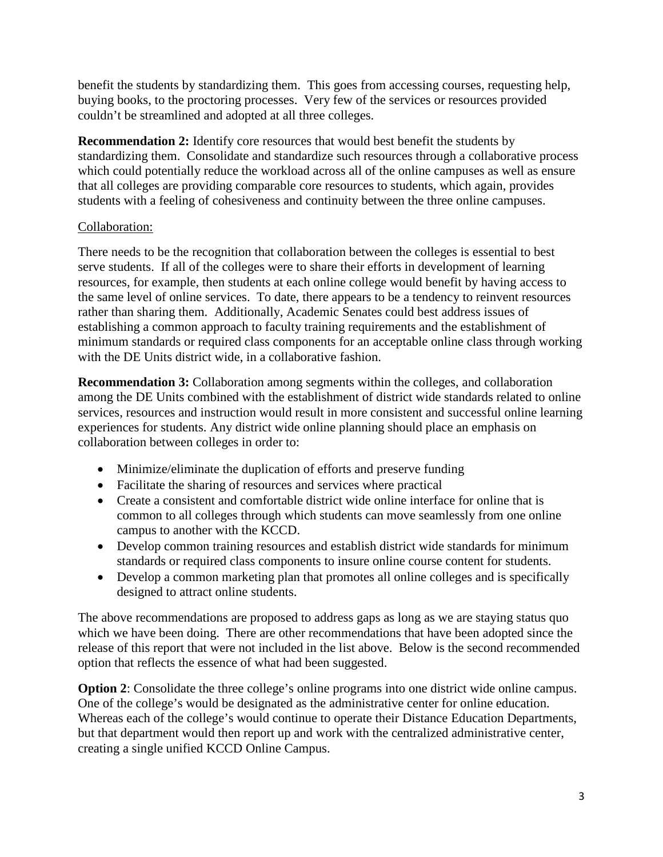benefit the students by standardizing them. This goes from accessing courses, requesting help, buying books, to the proctoring processes. Very few of the services or resources provided couldn't be streamlined and adopted at all three colleges.

**Recommendation 2:** Identify core resources that would best benefit the students by standardizing them. Consolidate and standardize such resources through a collaborative process which could potentially reduce the workload across all of the online campuses as well as ensure that all colleges are providing comparable core resources to students, which again, provides students with a feeling of cohesiveness and continuity between the three online campuses.

## Collaboration:

There needs to be the recognition that collaboration between the colleges is essential to best serve students. If all of the colleges were to share their efforts in development of learning resources, for example, then students at each online college would benefit by having access to the same level of online services. To date, there appears to be a tendency to reinvent resources rather than sharing them. Additionally, Academic Senates could best address issues of establishing a common approach to faculty training requirements and the establishment of minimum standards or required class components for an acceptable online class through working with the DE Units district wide, in a collaborative fashion.

**Recommendation 3:** Collaboration among segments within the colleges, and collaboration among the DE Units combined with the establishment of district wide standards related to online services, resources and instruction would result in more consistent and successful online learning experiences for students. Any district wide online planning should place an emphasis on collaboration between colleges in order to:

- Minimize/eliminate the duplication of efforts and preserve funding
- Facilitate the sharing of resources and services where practical
- Create a consistent and comfortable district wide online interface for online that is common to all colleges through which students can move seamlessly from one online campus to another with the KCCD.
- Develop common training resources and establish district wide standards for minimum standards or required class components to insure online course content for students.
- Develop a common marketing plan that promotes all online colleges and is specifically designed to attract online students.

The above recommendations are proposed to address gaps as long as we are staying status quo which we have been doing. There are other recommendations that have been adopted since the release of this report that were not included in the list above. Below is the second recommended option that reflects the essence of what had been suggested.

**Option 2**: Consolidate the three college's online programs into one district wide online campus. One of the college's would be designated as the administrative center for online education. Whereas each of the college's would continue to operate their Distance Education Departments, but that department would then report up and work with the centralized administrative center, creating a single unified KCCD Online Campus.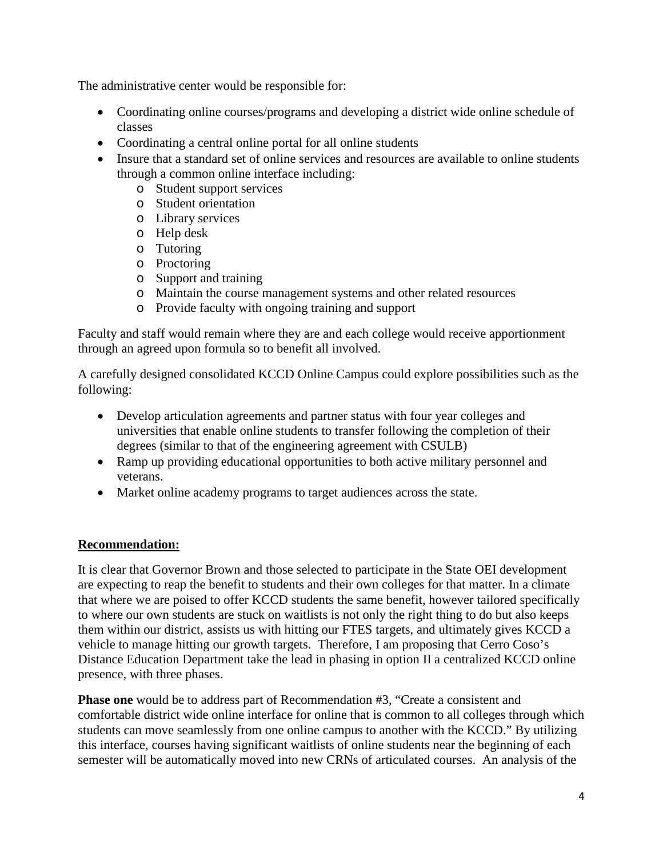The administrative center would be responsible for:

- Coordinating online courses/programs and developing a district wide online schedule of classes
- Coordinating a central online portal for all online students
- Insure that a standard set of online services and resources are available to online students through a common online interface including:
	- o Student support services
	- o Student orientation
	- o Library services
	- o Help desk
	- o Tutoring
	- o Proctoring
	- o Support and training
	- o Maintain the course management systems and other related resources
	- o Provide faculty with ongoing training and support

Faculty and staff would remain where they are and each college would receive apportionment through an agreed upon formula so to benefit all involved.

A carefully designed consolidated KCCD Online Campus could explore possibilities such as the following:

- Develop articulation agreements and partner status with four year colleges and universities that enable online students to transfer following the completion of their degrees (similar to that of the engineering agreement with CSULB)
- Ramp up providing educational opportunities to both active military personnel and veterans.
- Market online academy programs to target audiences across the state.

# **Recommendation:**

It is clear that Governor Brown and those selected to participate in the State OEI development are expecting to reap the benefit to students and their own colleges for that matter. In a climate that where we are poised to offer KCCD students the same benefit, however tailored specifically to where our own students are stuck on waitlists is not only the right thing to do but also keeps them within our district, assists us with hitting our FTES targets, and ultimately gives KCCD a vehicle to manage hitting our growth targets. Therefore, I am proposing that Cerro Coso's Distance Education Department take the lead in phasing in option II a centralized KCCD online presence, with three phases.

**Phase one** would be to address part of Recommendation #3, "Create a consistent and comfortable district wide online interface for online that is common to all colleges through which students can move seamlessly from one online campus to another with the KCCD." By utilizing this interface, courses having significant waitlists of online students near the beginning of each semester will be automatically moved into new CRNs of articulated courses. An analysis of the